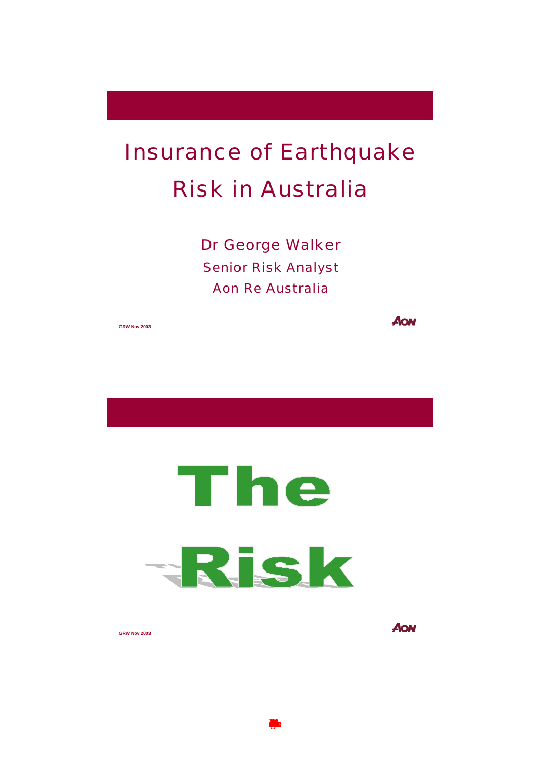# Insurance of Earthquake Risk in Australia

Dr George Walker Senior Risk Analyst Aon Re Australia



 $\blacksquare$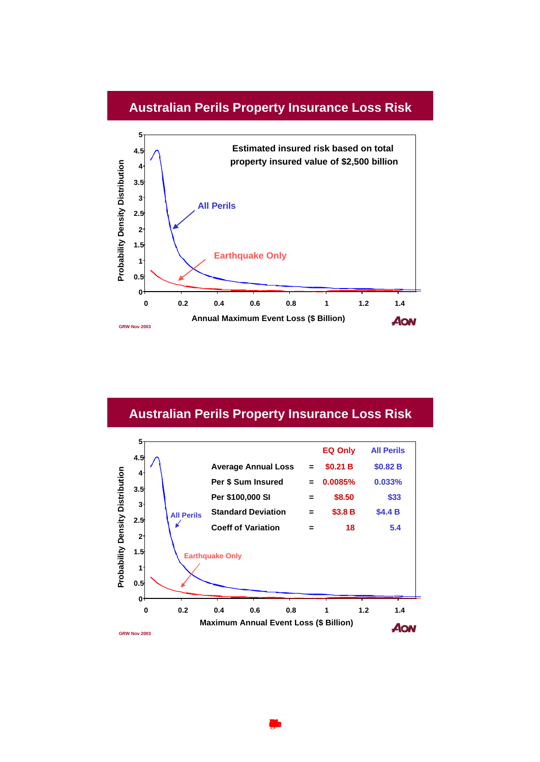#### **Australian Perils Property Insurance Loss Risk**



# **Australian Perils Property Insurance Loss Risk**

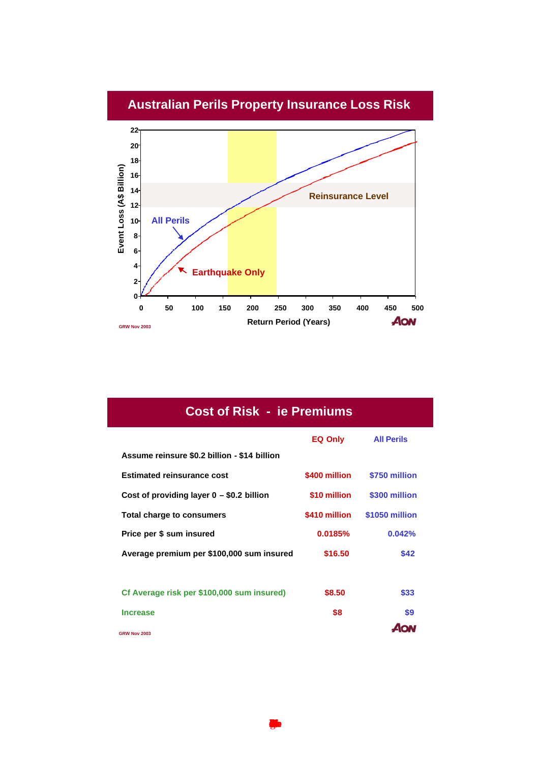

| <b>Cost of Risk - ie Premiums</b>            |               |                   |
|----------------------------------------------|---------------|-------------------|
|                                              | EQ Only       | <b>All Perils</b> |
| Assume reinsure \$0.2 billion - \$14 billion |               |                   |
| <b>Estimated reinsurance cost</b>            | \$400 million | \$750 million     |
| Cost of providing layer $0 - $0.2$ billion   | \$10 million  | \$300 million     |
| Total charge to consumers                    | \$410 million | \$1050 million    |
| Price per \$ sum insured                     | 0.0185%       | 0.042%            |
| Average premium per \$100,000 sum insured    | \$16.50       | \$42              |
|                                              |               |                   |
| Cf Average risk per \$100,000 sum insured)   | \$8.50        | \$33              |
| <b>Increase</b>                              | \$8           | \$9               |
| <b>GRW Nov 2003</b>                          |               |                   |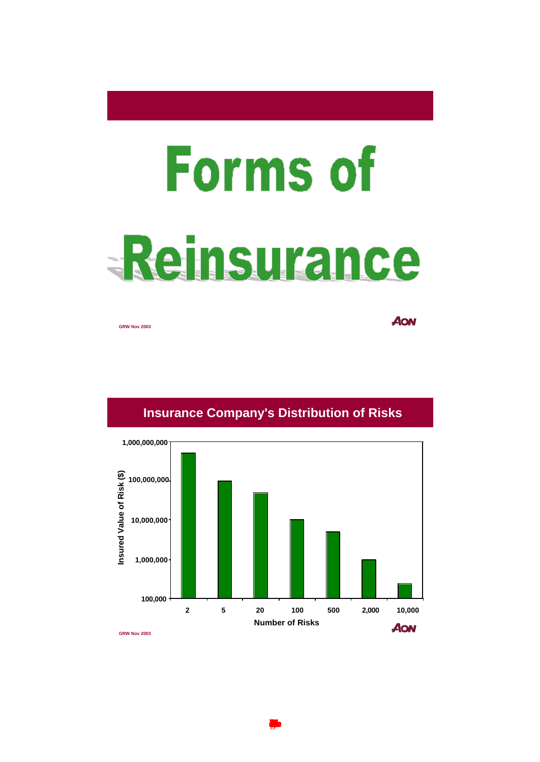# Forms of -Reinsurance

**GRW Nov 2003**

AON



# **Insurance Company's Distribution of Risks**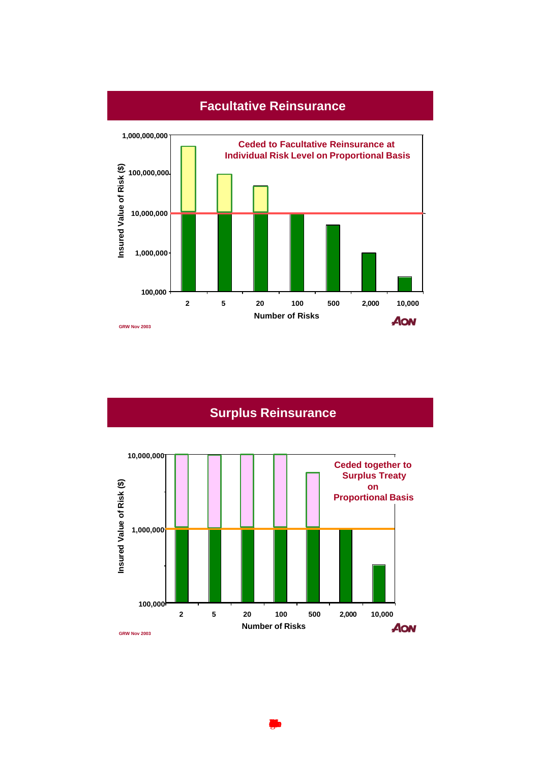

# **Facultative Reinsurance**

# **Surplus Reinsurance**

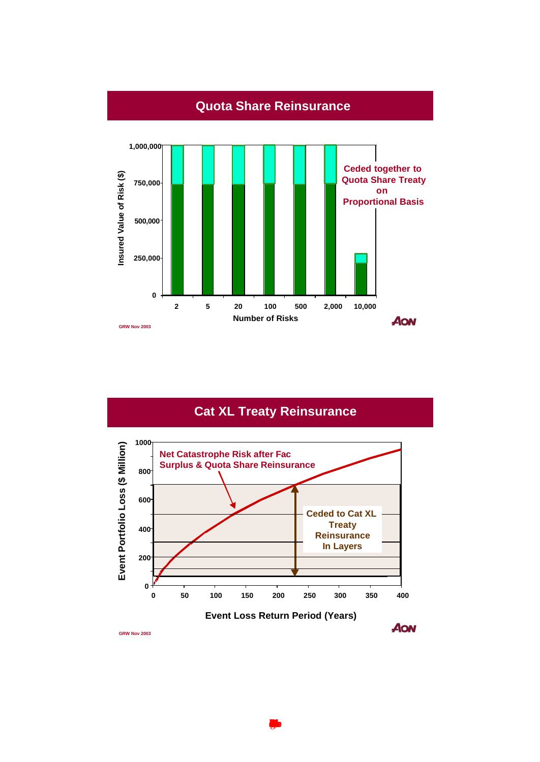

# **Cat XL Treaty Reinsurance**

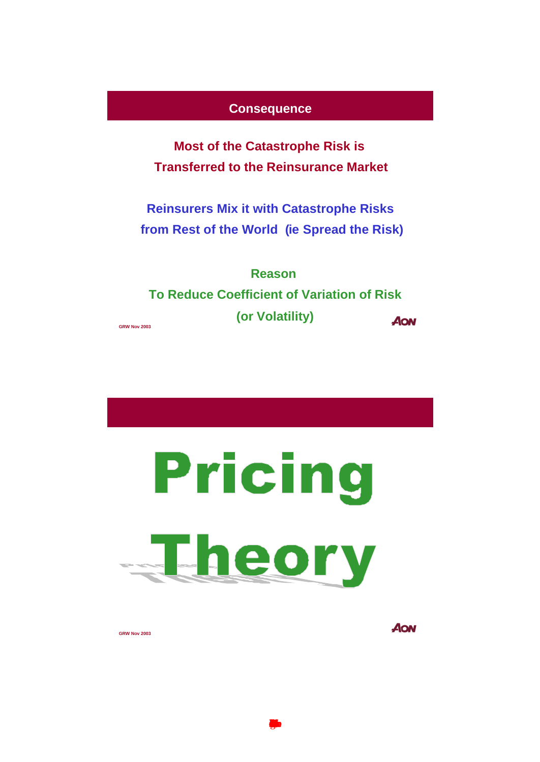#### **Consequence**

**Most of the Catastrophe Risk is Transferred to the Reinsurance Market**

**Reinsurers Mix it with Catastrophe Risks from Rest of the World (ie Spread the Risk)**

**Reason To Reduce Coefficient of Variation of Risk (or Volatility) AON** 

**GRW Nov 2003**

Pricing Fheory

**GRW Nov 2003**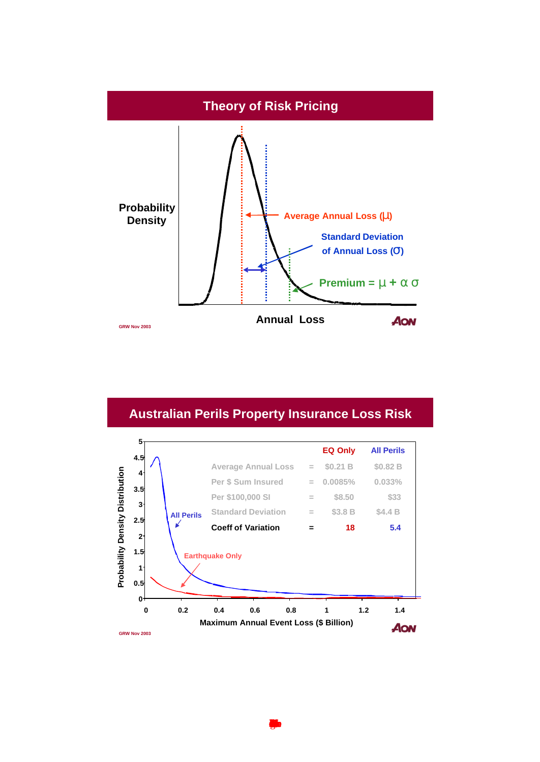

# **Australian Perils Property Insurance Loss Risk**

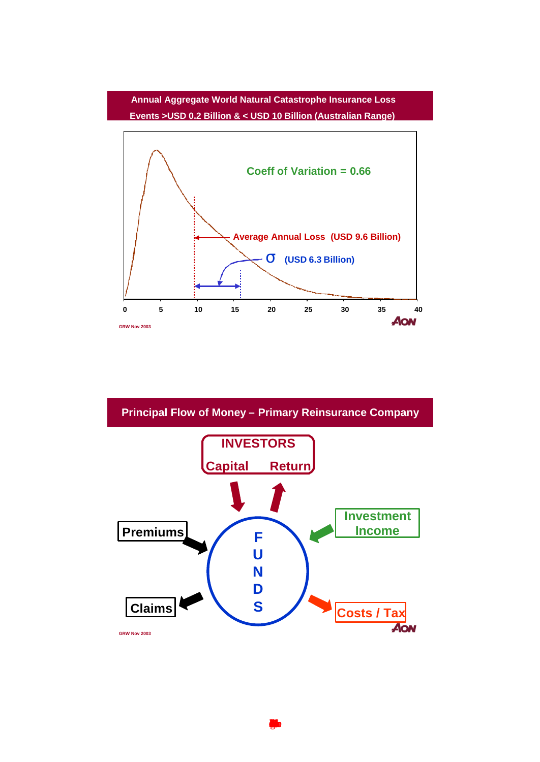#### **Annual Aggregate World Natural Catastrophe Insurance Loss Events >USD 0.2 Billion & < USD 10 Billion (Australian Range)**



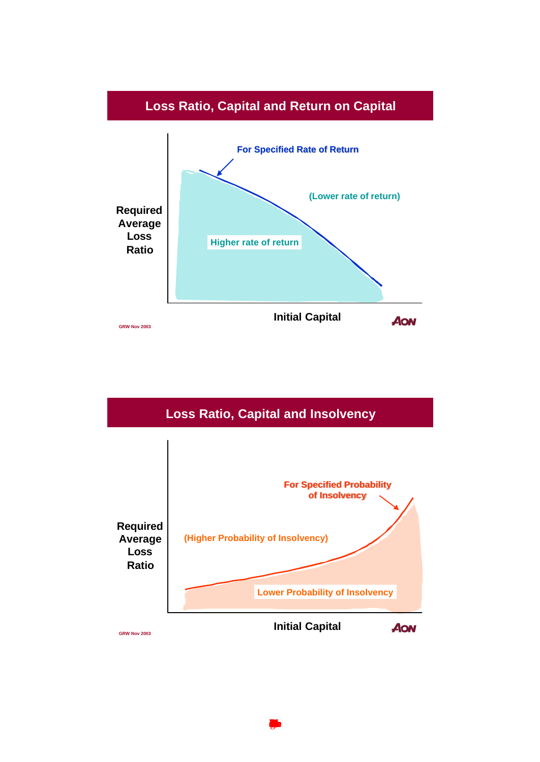

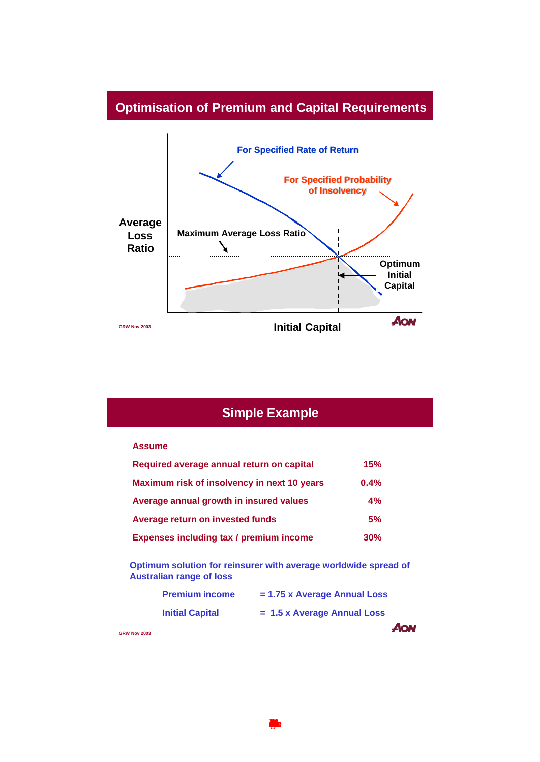# **Optimisation of Premium and Capital Requirements**



# **Simple Example**

#### **Assume**

| Required average annual return on capital   | 15%  |  |
|---------------------------------------------|------|--|
| Maximum risk of insolvency in next 10 years | 0.4% |  |
| Average annual growth in insured values     | 4%   |  |
| Average return on invested funds            | 5%   |  |
| Expenses including tax / premium income     | 30%  |  |

**Optimum solution for reinsurer with average worldwide spread of Australian range of loss**

| <b>Premium income</b>  | $= 1.75$ x Average Annual Loss |
|------------------------|--------------------------------|
| <b>Initial Capital</b> | $= 1.5$ x Average Annual Loss  |
|                        | AON                            |

 $\blacksquare$ 

**GRW Nov 2003**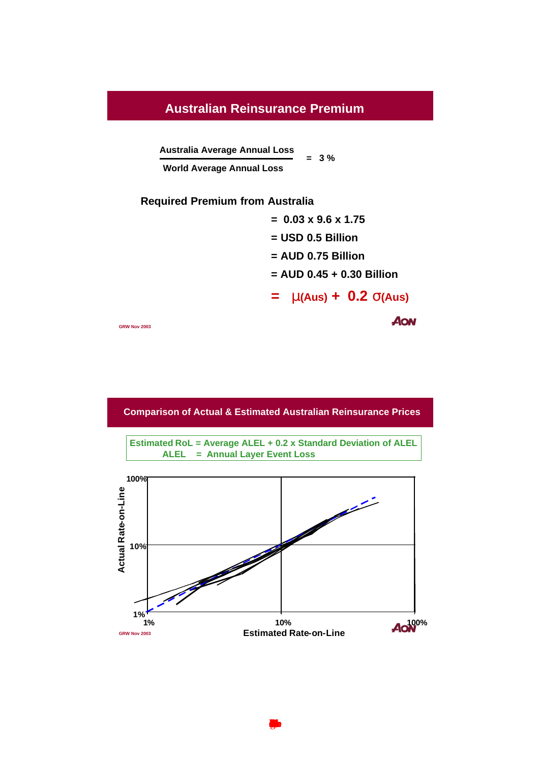#### **Australian Reinsurance Premium**

**Australia Average Annual Loss**

**World Average Annual Loss**

**Required Premium from Australia** 

**= 0.03 x 9.6 x 1.75 = USD 0.5 Billion = AUD 0.75 Billion = AUD 0.45 + 0.30 Billion**  $=$  **m**(Aus) + 0.2 **s**(Aus) AON

**= 3 %**

**GRW Nov 2003**

**Comparison of Actual & Estimated Australian Reinsurance Prices**

**Estimated RoL = Average ALEL + 0.2 x Standard Deviation of ALEL ALEL = Annual Layer Event Loss**

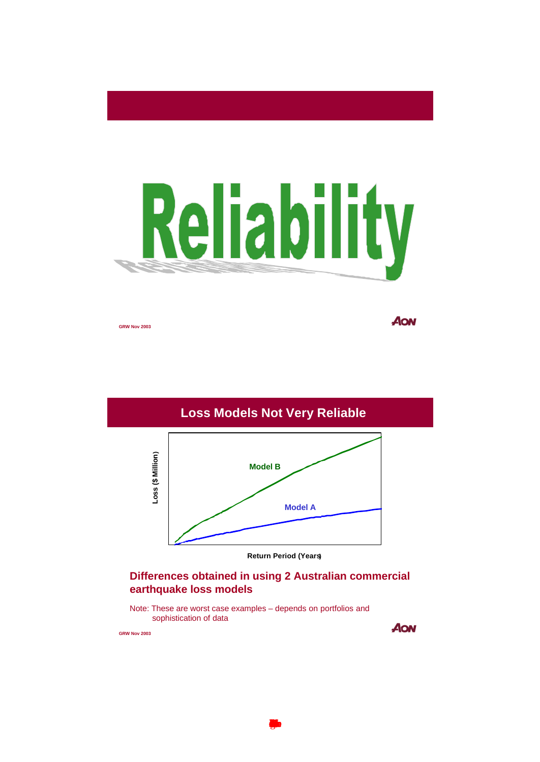

**GRW Nov 2003**

AON



#### **Differences obtained in using 2 Australian commercial earthquake loss models**

Note: These are worst case examples – depends on portfolios and sophistication of data

**GRW Nov 2003**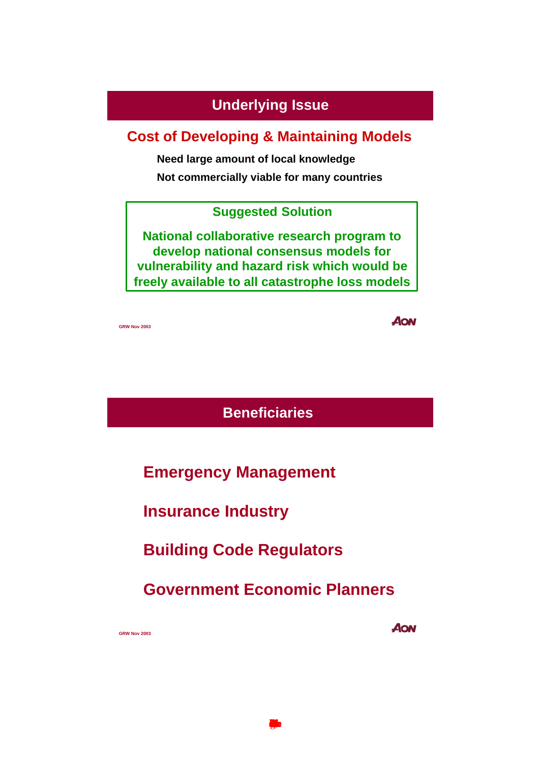# **Underlying Issue**

# **Cost of Developing & Maintaining Models**

**Need large amount of local knowledge**

**Not commercially viable for many countries**

# **Suggested Solution**

**National collaborative research program to develop national consensus models for vulnerability and hazard risk which would be freely available to all catastrophe loss models**

**GRW Nov 2003**

**AON** 

**Beneficiaries**

**Emergency Management**

**Insurance Industry**

**Building Code Regulators**

**Government Economic Planners**

 $\blacksquare$ 

**GRW Nov 2003**